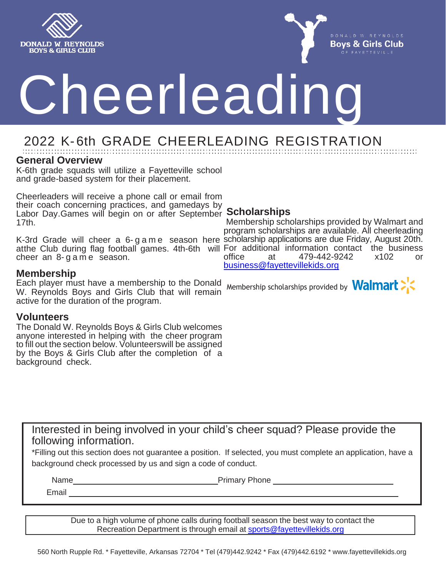



# Cheerleading

# 2022 K- 6th GRADE CHEERLEADING REGISTRATION

#### **General Overview**

K-6th grade squads will utilize a Fayetteville school and grade-based system for their placement.

Cheerleaders will receive a phone call or email from their coach concerning practices, and gamedays by Labor Day.Games will begin on or after September **Scholarships** 17th.

K-3rd Grade will cheer a 6- g a m e season here scholarship applications are due Friday, August 20th. atthe Club during flag football games. 4th-6th will For additional information contact the business cheer an 8- g a m e season.

### **Membership**

Each player must have a membership to the Donald W. Reynolds Boys and Girls Club that will remain active for the duration of the program.

#### **Volunteers**

The Donald W. Reynolds Boys & Girls Club welcomes anyone interested in helping with the cheer program to fill out the section below. Volunteerswill be assigned by the Boys & Girls Club after the completion of a background check.

Membership scholarships provided by Walmart and program scholarships are available. All cheerleading office at 479-442-9242 x102 or [business@fayettevillekids.org](mailto:business@fayettevillekids.org)

Membership scholarships provided by **Walmart**  $\sum$ 



Interested in being involved in your child's cheer squad? Please provide the following information.

\*Filling out this section does not guarantee a position. If selected, you must complete an application, have a background check processed by us and sign a code of conduct.

Name **Name** Primary Phone

Email

Due to a high volume of phone calls during football season the best way to contact the Recreation Department is through email at [sports@fayettevillekids.org](mailto:sports@fayettevillekids.org)